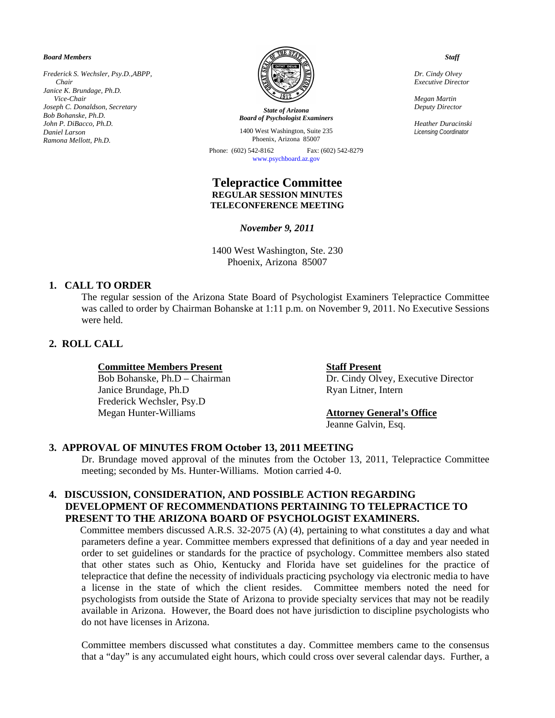*Board Members* 

*Frederick S. Wechsler, Psy.D.,ABPP, Chair Janice K. Brundage, Ph.D. Vice-Chair Joseph C. Donaldson, Secretary Bob Bohanske, Ph.D. John P. DiBacco, Ph.D. Daniel Larson Ramona Mellott, Ph.D.*



*State of Arizona Board of Psychologist Examiners*

1400 West Washington, Suite 235 Phoenix, Arizona 85007

Phone: (602) 542-8162 Fax: (602) 542-8279 www.psychboard.az.gov

## **Telepractice Committee REGULAR SESSION MINUTES TELECONFERENCE MEETING**

*November 9, 2011* 

1400 West Washington, Ste. 230 Phoenix, Arizona 85007

### **1. CALL TO ORDER**

The regular session of the Arizona State Board of Psychologist Examiners Telepractice Committee was called to order by Chairman Bohanske at 1:11 p.m. on November 9, 2011. No Executive Sessions were held.

# **2. ROLL CALL**

#### **Committee Members Present Staff Present**

Janice Brundage, Ph.D Ryan Litner, Intern Frederick Wechsler, Psy.D Megan Hunter-Williams **Attorney General's Office**

Bob Bohanske, Ph.D – Chairman Dr. Cindy Olvey, Executive Director

Jeanne Galvin, Esq.

#### **3. APPROVAL OF MINUTES FROM October 13, 2011 MEETING**

Dr. Brundage moved approval of the minutes from the October 13, 2011, Telepractice Committee meeting; seconded by Ms. Hunter-Williams. Motion carried 4-0.

## **4. DISCUSSION, CONSIDERATION, AND POSSIBLE ACTION REGARDING DEVELOPMENT OF RECOMMENDATIONS PERTAINING TO TELEPRACTICE TO PRESENT TO THE ARIZONA BOARD OF PSYCHOLOGIST EXAMINERS.**

 Committee members discussed A.R.S. 32-2075 (A) (4), pertaining to what constitutes a day and what parameters define a year. Committee members expressed that definitions of a day and year needed in order to set guidelines or standards for the practice of psychology. Committee members also stated that other states such as Ohio, Kentucky and Florida have set guidelines for the practice of telepractice that define the necessity of individuals practicing psychology via electronic media to have a license in the state of which the client resides. Committee members noted the need for psychologists from outside the State of Arizona to provide specialty services that may not be readily available in Arizona. However, the Board does not have jurisdiction to discipline psychologists who do not have licenses in Arizona.

Committee members discussed what constitutes a day. Committee members came to the consensus that a "day" is any accumulated eight hours, which could cross over several calendar days. Further, a

 *Staff* 

*Dr. Cindy Olvey Executive Director* 

*Megan Martin Deputy Director* 

*Heather Duracinski Licensing Coordinator*